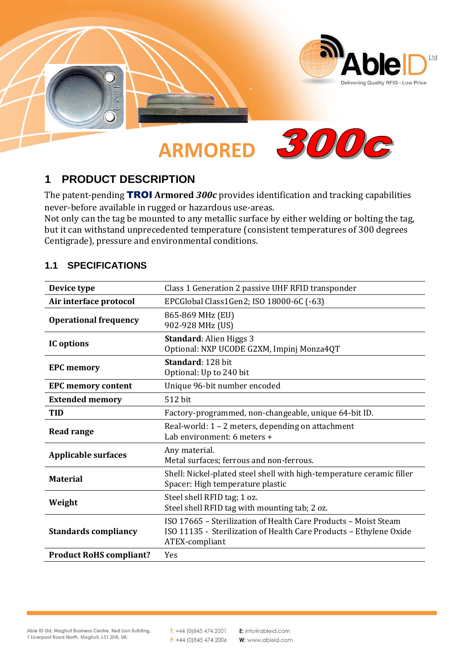

## **1 PRODUCT DESCRIPTION**

The patent-pending TROI **Armored** *300c* provides identification and tracking capabilities never-before available in rugged or hazardous use-areas.

Not only can the tag be mounted to any metallic surface by either welding or bolting the tag, but it can withstand unprecedented temperature (consistent temperatures of 300 degrees Centigrade), pressure and environmental conditions.

### **1.1 SPECIFICATIONS**

| Device type                    | Class 1 Generation 2 passive UHF RFID transponder                                                                                                       |
|--------------------------------|---------------------------------------------------------------------------------------------------------------------------------------------------------|
| Air interface protocol         | EPCGlobal Class1Gen2; ISO 18000-6C (-63)                                                                                                                |
| <b>Operational frequency</b>   | 865-869 MHz (EU)<br>902-928 MHz (US)                                                                                                                    |
| IC options                     | <b>Standard: Alien Higgs 3</b><br>Optional: NXP UCODE G2XM, Impinj Monza4QT                                                                             |
| <b>EPC memory</b>              | Standard: 128 bit<br>Optional: Up to 240 bit                                                                                                            |
| <b>EPC memory content</b>      | Unique 96-bit number encoded                                                                                                                            |
| <b>Extended memory</b>         | 512 bit                                                                                                                                                 |
| <b>TID</b>                     | Factory-programmed, non-changeable, unique 64-bit ID.                                                                                                   |
| <b>Read range</b>              | Real-world: 1 – 2 meters, depending on attachment<br>Lab environment: 6 meters +                                                                        |
| <b>Applicable surfaces</b>     | Any material.<br>Metal surfaces; ferrous and non-ferrous.                                                                                               |
| <b>Material</b>                | Shell: Nickel-plated steel shell with high-temperature ceramic filler<br>Spacer: High temperature plastic                                               |
| Weight                         | Steel shell RFID tag; 1 oz.<br>Steel shell RFID tag with mounting tab; 2 oz.                                                                            |
| <b>Standards compliancy</b>    | ISO 17665 - Sterilization of Health Care Products - Moist Steam<br>ISO 11135 - Sterilization of Health Care Products - Ethylene Oxide<br>ATEX-compliant |
| <b>Product RoHS compliant?</b> | Yes                                                                                                                                                     |

 $T: +44(0)8454742001$  $F: +44(0)8454742006$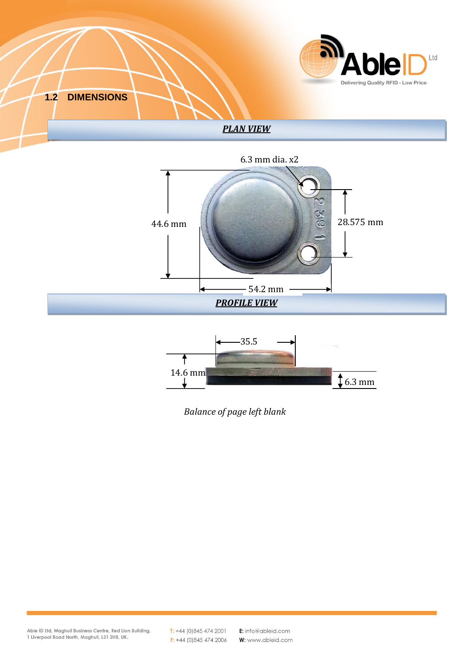





*Balance of page left blank*

Able ID Ltd, Maghull Business Centre, Red Lion Building,<br>1 Liverpool Road North, Maghull, L31 2HB, UK.

 $T: +44(0)8454742001$  $F: +44(0)8454742006$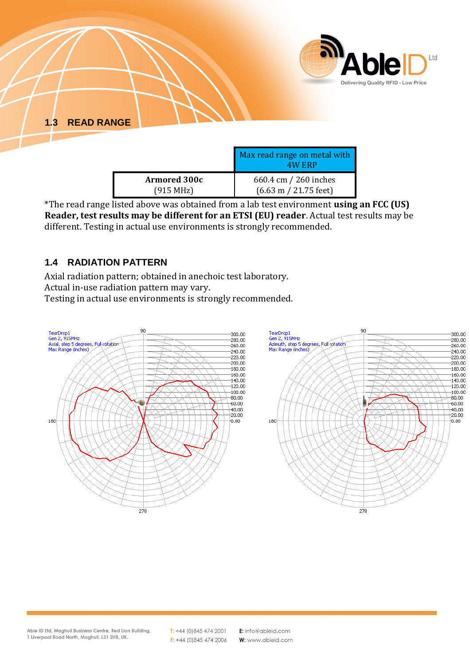

|                                  | Prah Peau Pange on mean with<br>4W ERP  |
|----------------------------------|-----------------------------------------|
| <b>Armored 300c</b><br>(915 MHz) | 660.4 cm / 260 inches                   |
|                                  | $(6.63 \text{ m} / 21.75 \text{ feet})$ |

\*The read range listed above was obtained from a lab test environment **using an FCC (US) Reader, test results may be different for an ETSI (EU) reader**. Actual test results may be different. Testing in actual use environments is strongly recommended.

### **1.4 RADIATION PATTERN**

Axial radiation pattern; obtained in anechoic test laboratory. Actual in-use radiation pattern may vary.

Testing in actual use environments is strongly recommended.



 $T: +44(0)8454742001$  $F: +44(0)8454742006$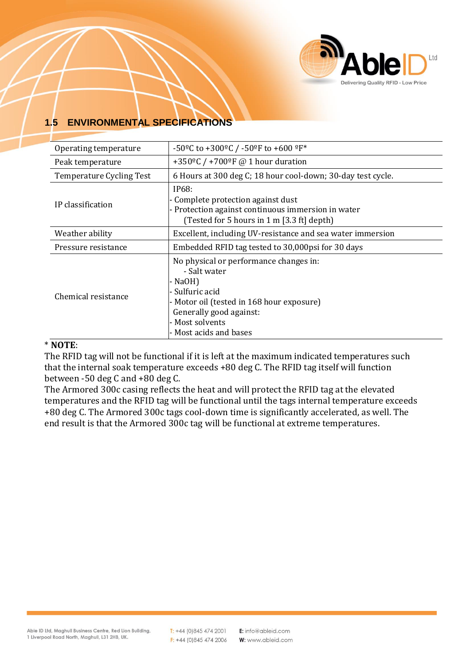

# **1.5 ENVIRONMENTAL SPECIFICATIONS**

| Operating temperature           | -50°C to +300°C / -50°F to +600 °F*                                                                                                                                                                       |
|---------------------------------|-----------------------------------------------------------------------------------------------------------------------------------------------------------------------------------------------------------|
| Peak temperature                | +350 <sup>o</sup> C / +700 <sup>o</sup> F @ 1 hour duration                                                                                                                                               |
| <b>Temperature Cycling Test</b> | 6 Hours at 300 deg C; 18 hour cool-down; 30-day test cycle.                                                                                                                                               |
| IP classification               | IP68:<br>Complete protection against dust<br>- Protection against continuous immersion in water<br>(Tested for 5 hours in 1 m [3.3 ft] depth)                                                             |
| Weather ability                 | Excellent, including UV-resistance and sea water immersion                                                                                                                                                |
| Pressure resistance             | Embedded RFID tag tested to 30,000 psi for 30 days                                                                                                                                                        |
| Chemical resistance             | No physical or performance changes in:<br>- Salt water<br>- NaOH)<br>- Sulfuric acid<br>- Motor oil (tested in 168 hour exposure)<br>Generally good against:<br>- Most solvents<br>- Most acids and bases |

#### \* **NOTE**:

The RFID tag will not be functional if it is left at the maximum indicated temperatures such that the internal soak temperature exceeds +80 deg C. The RFID tag itself will function between -50 deg C and +80 deg C.

The Armored 300c casing reflects the heat and will protect the RFID tag at the elevated temperatures and the RFID tag will be functional until the tags internal temperature exceeds +80 deg C. The Armored 300c tags cool-down time is significantly accelerated, as well. The end result is that the Armored 300c tag will be functional at extreme temperatures.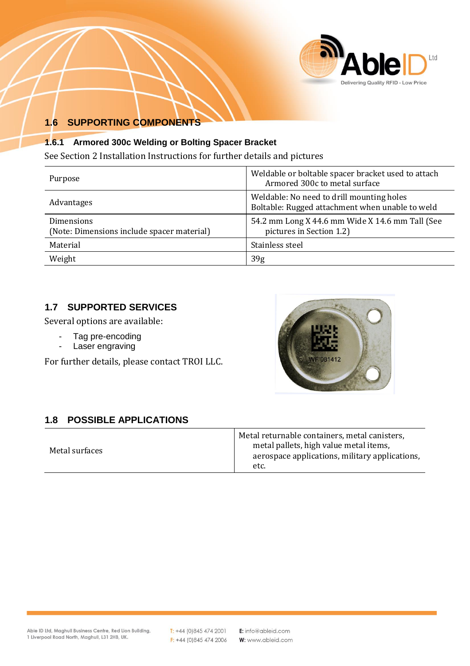

## **1.6 SUPPORTING COMPONENTS**

#### **1.6.1 Armored 300c Welding or Bolting Spacer Bracket**

See Section 2 Installation Instructions for further details and pictures

| Purpose                                                  | Weldable or boltable spacer bracket used to attach<br>Armored 300c to metal surface          |
|----------------------------------------------------------|----------------------------------------------------------------------------------------------|
| Advantages                                               | Weldable: No need to drill mounting holes<br>Boltable: Rugged attachment when unable to weld |
| Dimensions<br>(Note: Dimensions include spacer material) | 54.2 mm Long X 44.6 mm Wide X 14.6 mm Tall (See<br>pictures in Section 1.2)                  |
| Material                                                 | Stainless steel                                                                              |
| Weight                                                   | 39 <sub>g</sub>                                                                              |

### **1.7 SUPPORTED SERVICES**

Several options are available:

- Tag pre-encoding
- Laser engraving

For further details, please contact TROI LLC.



### **1.8 POSSIBLE APPLICATIONS**

|                | Metal returnable containers, metal canisters,  |
|----------------|------------------------------------------------|
| Metal surfaces | metal pallets, high value metal items,         |
|                | aerospace applications, military applications, |
|                | etc.                                           |

 $T: +44(0)8454742001$  $F: +44(0)8454742006$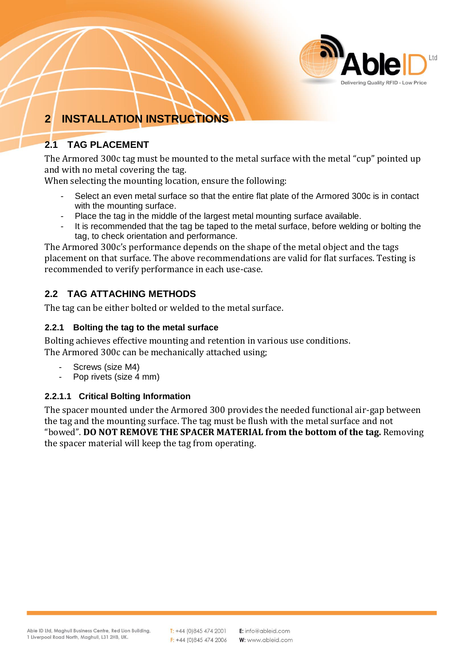

# **2 INSTALLATION INSTRUCTIONS**

# **2.1 TAG PLACEMENT**

The Armored 300c tag must be mounted to the metal surface with the metal "cup" pointed up and with no metal covering the tag.

When selecting the mounting location, ensure the following:

- Select an even metal surface so that the entire flat plate of the Armored 300c is in contact with the mounting surface.
- Place the tag in the middle of the largest metal mounting surface available.
- It is recommended that the tag be taped to the metal surface, before welding or bolting the tag, to check orientation and performance.

The Armored 300c's performance depends on the shape of the metal object and the tags placement on that surface. The above recommendations are valid for flat surfaces. Testing is recommended to verify performance in each use-case.

### **2.2 TAG ATTACHING METHODS**

The tag can be either bolted or welded to the metal surface.

### **2.2.1 Bolting the tag to the metal surface**

Bolting achieves effective mounting and retention in various use conditions. The Armored 300c can be mechanically attached using;

- Screws (size M4)
- Pop rivets (size 4 mm)

### **2.2.1.1 Critical Bolting Information**

The spacer mounted under the Armored 300 provides the needed functional air-gap between the tag and the mounting surface. The tag must be flush with the metal surface and not "bowed". **DO NOT REMOVE THE SPACER MATERIAL from the bottom of the tag.** Removing the spacer material will keep the tag from operating.

 $T: +44(0)8454742001$  $F: +44(0)8454742006$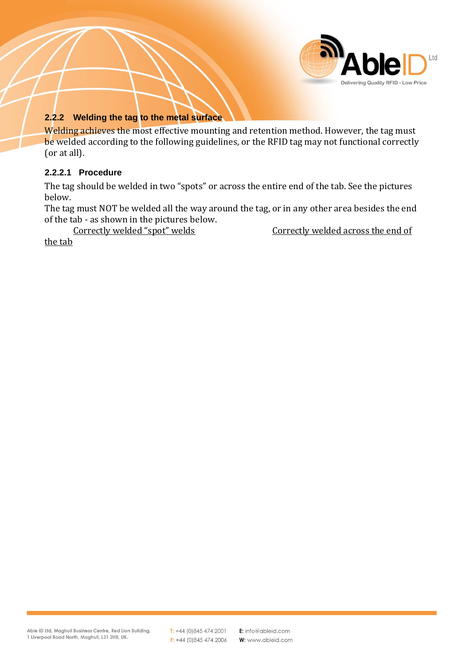

#### **2.2.2 Welding the tag to the metal surface**

Welding achieves the most effective mounting and retention method. However, the tag must be welded according to the following guidelines, or the RFID tag may not functional correctly (or at all).

#### **2.2.2.1 Procedure**

The tag should be welded in two "spots" or across the entire end of the tab. See the pictures below.

The tag must NOT be welded all the way around the tag, or in any other area besides the end of the tab - as shown in the pictures below.<br>Correctly welded "spot" welds

Correctly welded across the end of

the tab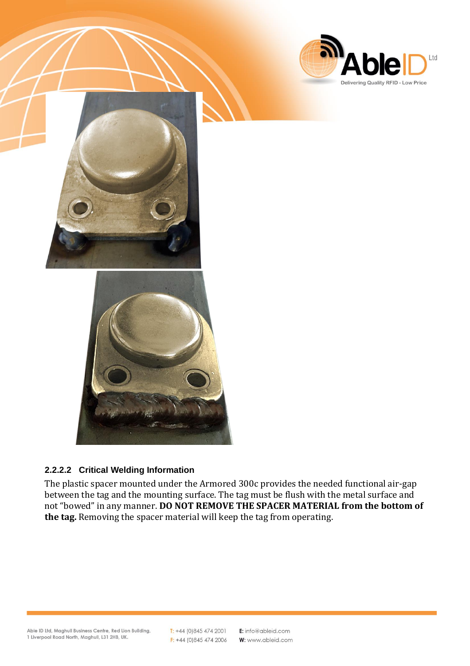

Ltd

## **2.2.2.2 Critical Welding Information**

The plastic spacer mounted under the Armored 300c provides the needed functional air-gap between the tag and the mounting surface. The tag must be flush with the metal surface and not "bowed" in any manner. **DO NOT REMOVE THE SPACER MATERIAL from the bottom of the tag.** Removing the spacer material will keep the tag from operating.

 $T: +44(0)8454742001$  $F: +44(0)8454742006$